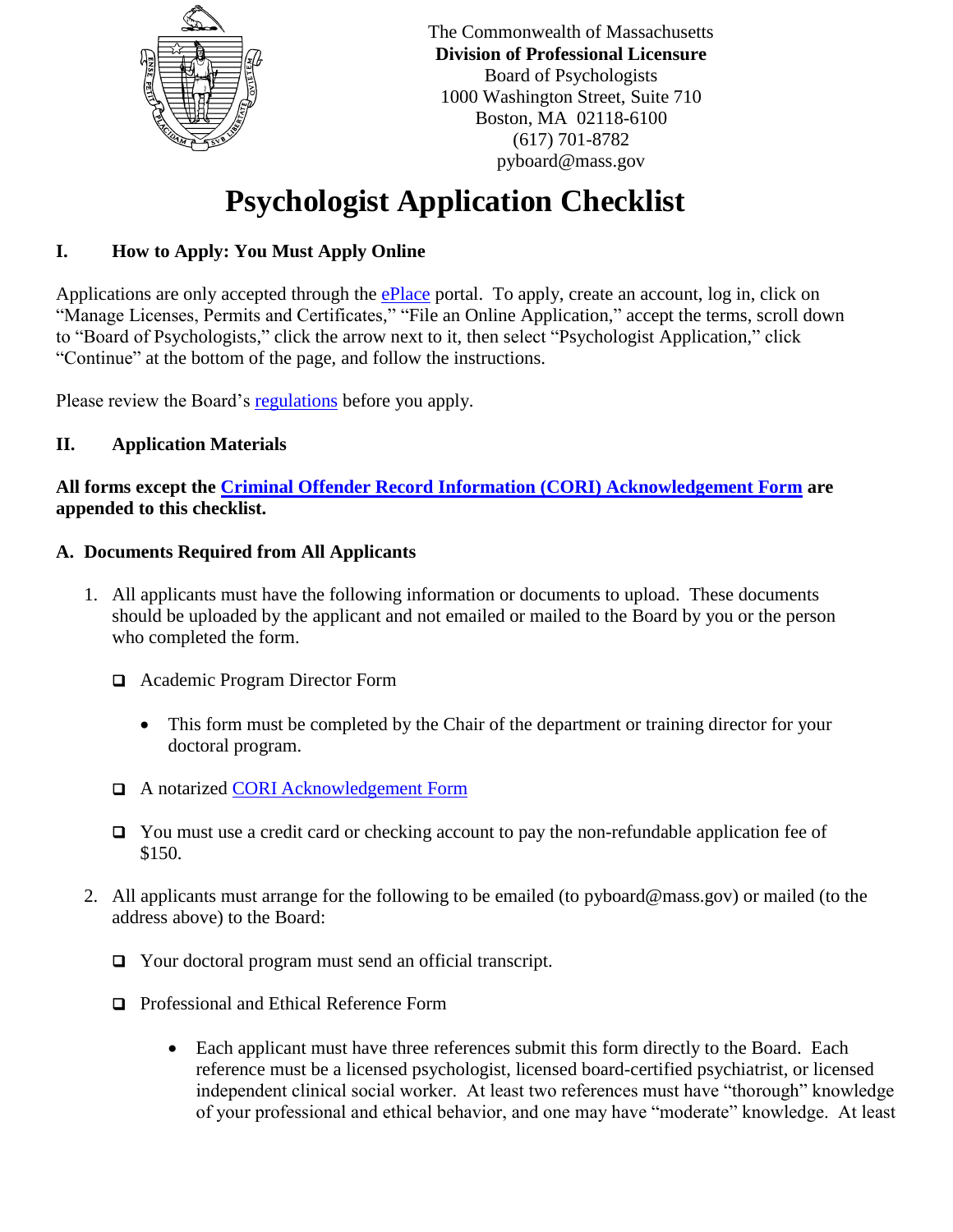

The Commonwealth of Massachusetts **Division of Professional Licensure** Board of Psychologists 1000 Washington Street, Suite 710 Boston, MA 02118-6100 (617) 701-8782 pyboard@mass.gov

# **Psychologist Application Checklist**

# **I. How to Apply: You Must Apply Online**

Applications are only accepted through the [ePlace](https://elicensing.mass.gov/CitizenAccess/Default.aspx) portal. To apply, create an account, log in, click on "Manage Licenses, Permits and Certificates," "File an Online Application," accept the terms, scroll down to "Board of Psychologists," click the arrow next to it, then select "Psychologist Application," click "Continue" at the bottom of the page, and follow the instructions.

Please review the Board's [regulations](https://www.mass.gov/doc/251-cmr-3-registration-of-psychologists/download) before you apply.

### **II. Application Materials**

**All forms except the [Criminal Offender Record Information \(CORI\) Acknowledgement Form](https://www.mass.gov/doc/dpl-cori-all-boards/download) are appended to this checklist.**

### **A. Documents Required from All Applicants**

- 1. All applicants must have the following information or documents to upload. These documents should be uploaded by the applicant and not emailed or mailed to the Board by you or the person who completed the form.
	- □ Academic Program Director Form
		- This form must be completed by the Chair of the department or training director for your doctoral program.
	- A notarized [CORI Acknowledgement Form](https://www.mass.gov/doc/dpl-cori-all-boards/download)
	- You must use a credit card or checking account to pay the non-refundable application fee of \$150.
- 2. All applicants must arrange for the following to be emailed (to pyboard@mass.gov) or mailed (to the address above) to the Board:
	- □ Your doctoral program must send an official transcript.
	- **Professional and Ethical Reference Form** 
		- Each applicant must have three references submit this form directly to the Board. Each reference must be a licensed psychologist, licensed board-certified psychiatrist, or licensed independent clinical social worker. At least two references must have "thorough" knowledge of your professional and ethical behavior, and one may have "moderate" knowledge. At least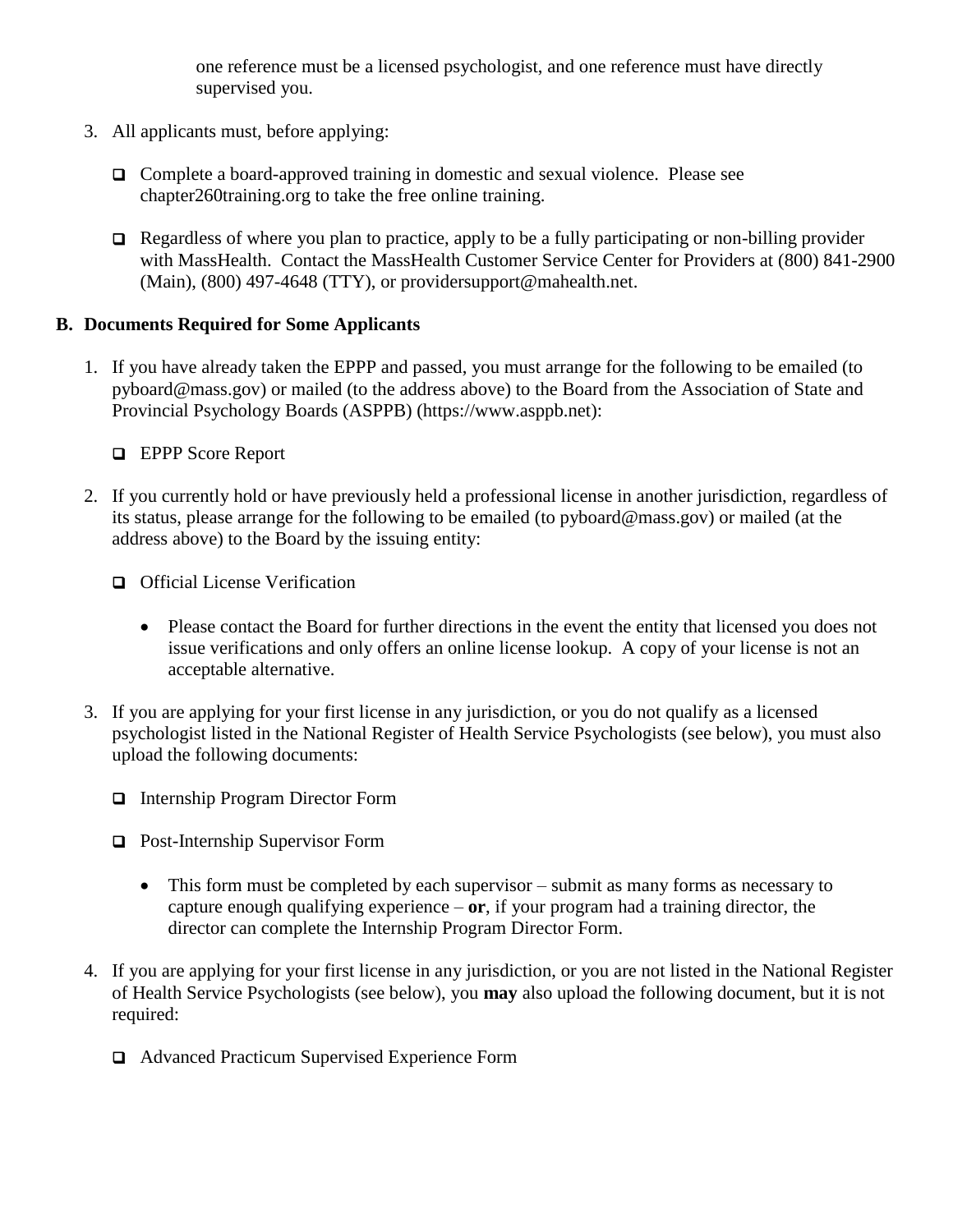one reference must be a licensed psychologist, and one reference must have directly supervised you.

- 3. All applicants must, before applying:
	- Complete a board-approved training in domestic and sexual violence. Please see chapter260training.org to take the free online training.
	- $\Box$  Regardless of where you plan to practice, apply to be a fully participating or non-billing provider with MassHealth. Contact the MassHealth Customer Service Center for Providers at (800) 841-2900 (Main), (800) 497-4648 (TTY), or providersupport@mahealth.net.

### **B. Documents Required for Some Applicants**

1. If you have already taken the EPPP and passed, you must arrange for the following to be emailed (to pyboard@mass.gov) or mailed (to the address above) to the Board from the Association of State and Provincial Psychology Boards (ASPPB) (https://www.asppb.net):

**EPPP** Score Report

- 2. If you currently hold or have previously held a professional license in another jurisdiction, regardless of its status, please arrange for the following to be emailed (to pyboard@mass.gov) or mailed (at the address above) to the Board by the issuing entity:
	- **Q** Official License Verification
		- Please contact the Board for further directions in the event the entity that licensed you does not issue verifications and only offers an online license lookup. A copy of your license is not an acceptable alternative.
- 3. If you are applying for your first license in any jurisdiction, or you do not qualify as a licensed psychologist listed in the National Register of Health Service Psychologists (see below), you must also upload the following documents:
	- □ Internship Program Director Form
	- □ Post-Internship Supervisor Form
		- This form must be completed by each supervisor submit as many forms as necessary to capture enough qualifying experience – **or**, if your program had a training director, the director can complete the Internship Program Director Form.
- 4. If you are applying for your first license in any jurisdiction, or you are not listed in the National Register of Health Service Psychologists (see below), you **may** also upload the following document, but it is not required:
	- Advanced Practicum Supervised Experience Form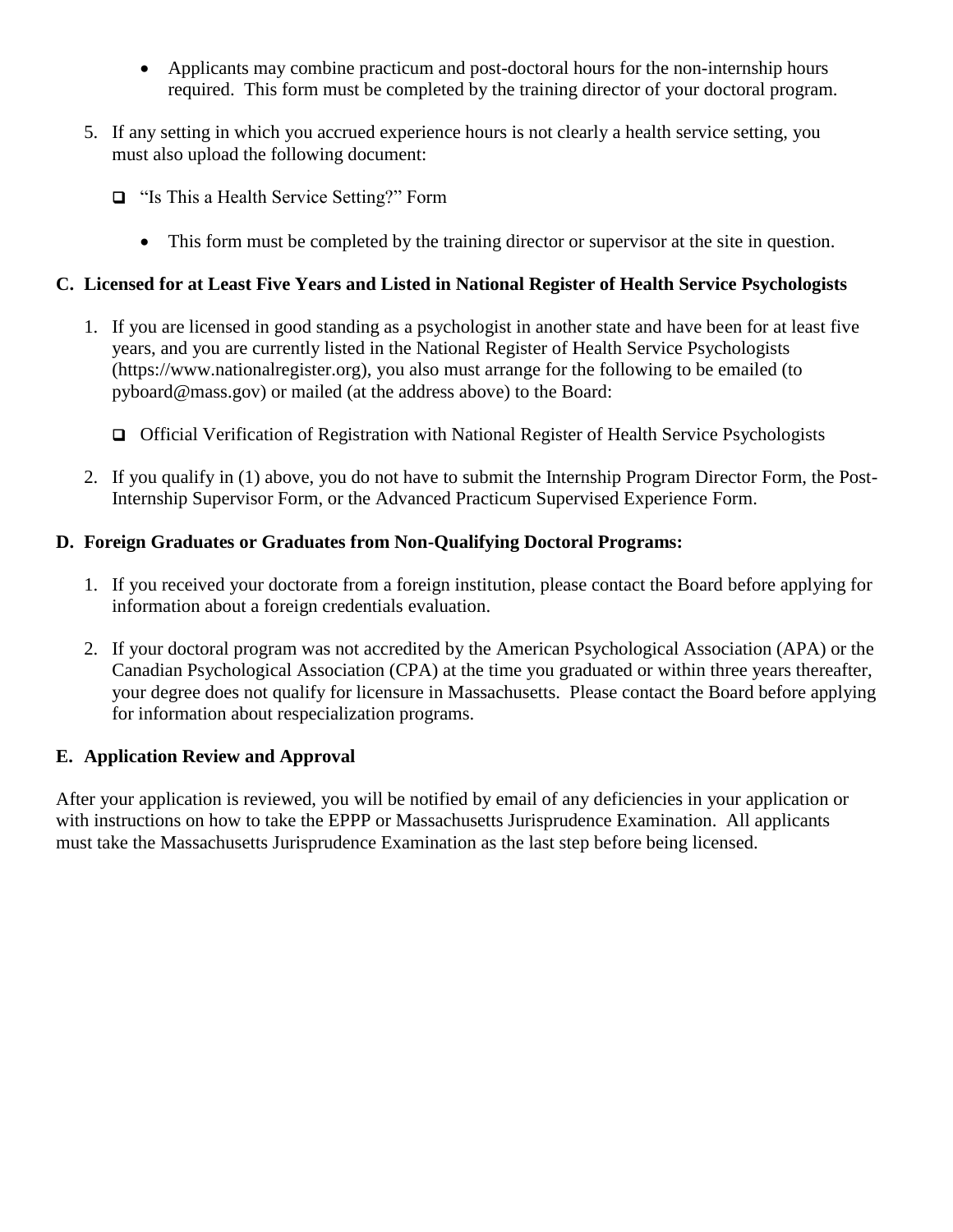- Applicants may combine practicum and post-doctoral hours for the non-internship hours required. This form must be completed by the training director of your doctoral program.
- 5. If any setting in which you accrued experience hours is not clearly a health service setting, you must also upload the following document:
	- □ "Is This a Health Service Setting?" Form
		- This form must be completed by the training director or supervisor at the site in question.

# **C. Licensed for at Least Five Years and Listed in National Register of Health Service Psychologists**

- 1. If you are licensed in good standing as a psychologist in another state and have been for at least five years, and you are currently listed in the National Register of Health Service Psychologists (https://www.nationalregister.org), you also must arrange for the following to be emailed (to pyboard@mass.gov) or mailed (at the address above) to the Board:
	- Official Verification of Registration with National Register of Health Service Psychologists
- 2. If you qualify in (1) above, you do not have to submit the Internship Program Director Form, the Post-Internship Supervisor Form, or the Advanced Practicum Supervised Experience Form.

# **D. Foreign Graduates or Graduates from Non-Qualifying Doctoral Programs:**

- 1. If you received your doctorate from a foreign institution, please contact the Board before applying for information about a foreign credentials evaluation.
- 2. If your doctoral program was not accredited by the American Psychological Association (APA) or the Canadian Psychological Association (CPA) at the time you graduated or within three years thereafter, your degree does not qualify for licensure in Massachusetts. Please contact the Board before applying for information about respecialization programs.

# **E. Application Review and Approval**

After your application is reviewed, you will be notified by email of any deficiencies in your application or with instructions on how to take the EPPP or Massachusetts Jurisprudence Examination. All applicants must take the Massachusetts Jurisprudence Examination as the last step before being licensed.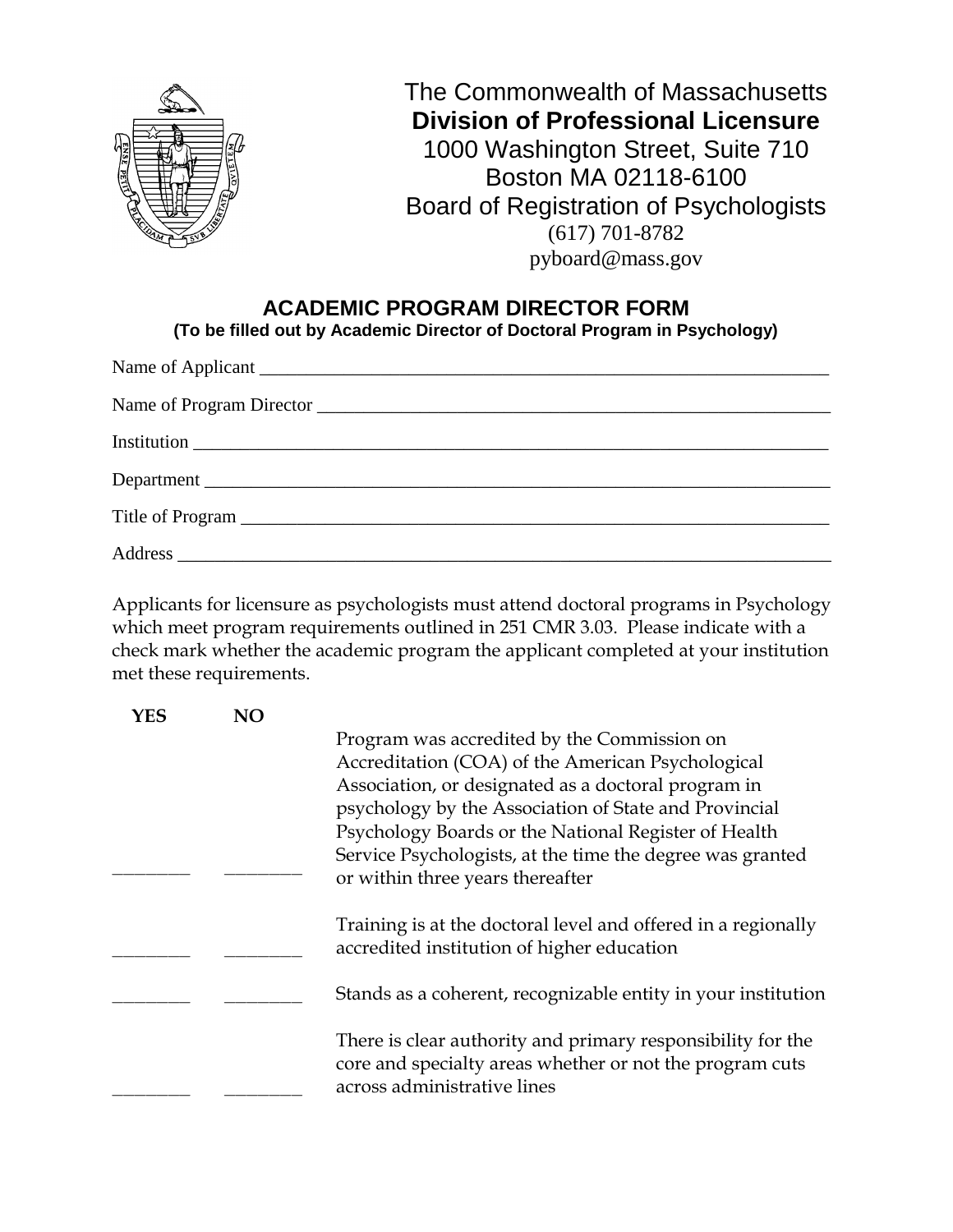

# **ACADEMIC PROGRAM DIRECTOR FORM**

**(To be filled out by Academic Director of Doctoral Program in Psychology)**

| Department |
|------------|
|            |
|            |

Applicants for licensure as psychologists must attend doctoral programs in Psychology which meet program requirements outlined in 251 CMR 3.03. Please indicate with a check mark whether the academic program the applicant completed at your institution met these requirements.

| YES | NΟ |                                                                                                                                                        |
|-----|----|--------------------------------------------------------------------------------------------------------------------------------------------------------|
|     |    | Program was accredited by the Commission on                                                                                                            |
|     |    | Accreditation (COA) of the American Psychological                                                                                                      |
|     |    | Association, or designated as a doctoral program in                                                                                                    |
|     |    | psychology by the Association of State and Provincial                                                                                                  |
|     |    | Psychology Boards or the National Register of Health                                                                                                   |
|     |    | Service Psychologists, at the time the degree was granted                                                                                              |
|     |    | or within three years thereafter                                                                                                                       |
|     |    | Training is at the doctoral level and offered in a regionally<br>accredited institution of higher education                                            |
|     |    | Stands as a coherent, recognizable entity in your institution                                                                                          |
|     |    | There is clear authority and primary responsibility for the<br>core and specialty areas whether or not the program cuts<br>across administrative lines |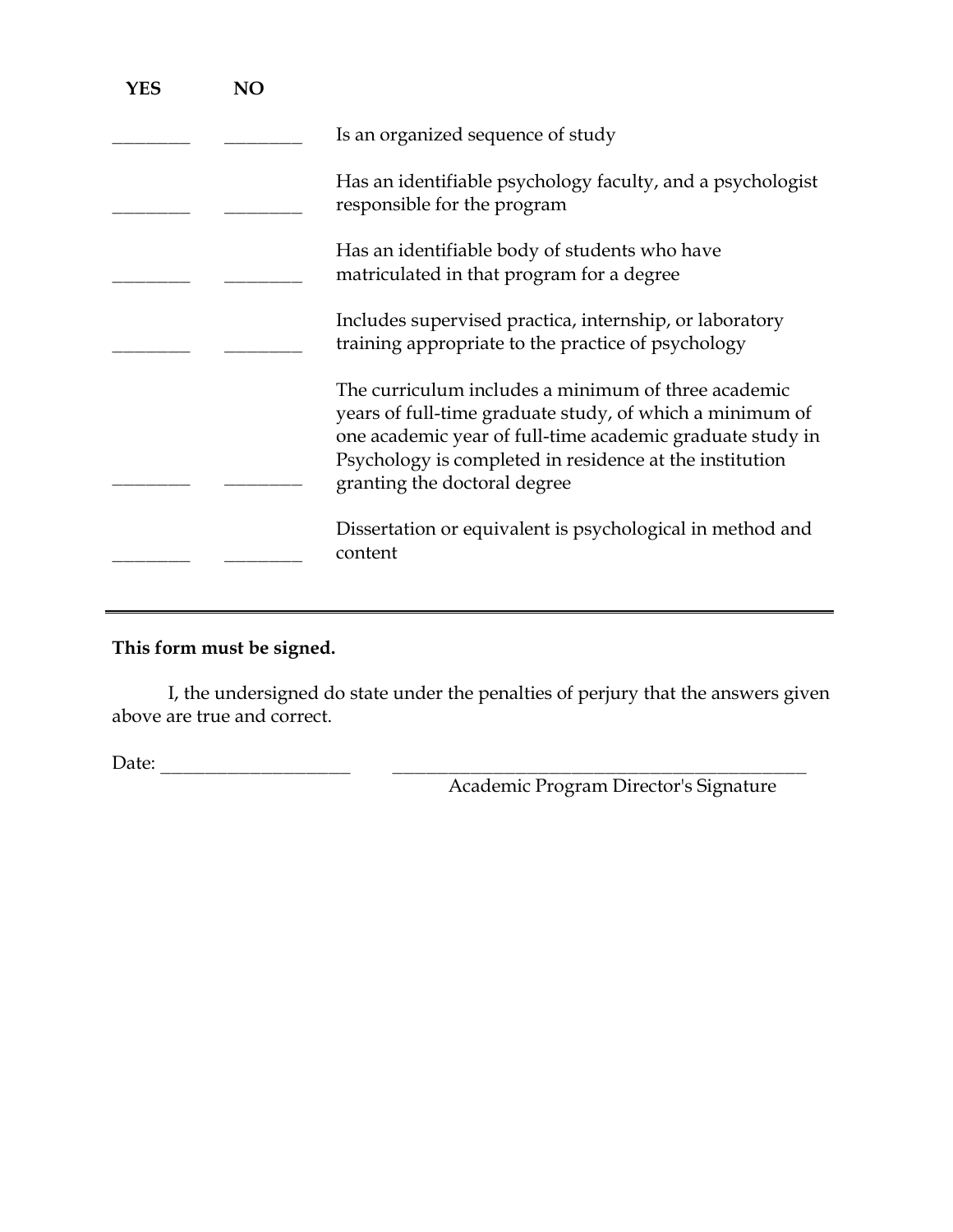| YES | NΟ |                                                                                                                                                                                                                                                                         |
|-----|----|-------------------------------------------------------------------------------------------------------------------------------------------------------------------------------------------------------------------------------------------------------------------------|
|     |    | Is an organized sequence of study                                                                                                                                                                                                                                       |
|     |    | Has an identifiable psychology faculty, and a psychologist<br>responsible for the program                                                                                                                                                                               |
|     |    | Has an identifiable body of students who have<br>matriculated in that program for a degree                                                                                                                                                                              |
|     |    | Includes supervised practica, internship, or laboratory<br>training appropriate to the practice of psychology                                                                                                                                                           |
|     |    | The curriculum includes a minimum of three academic<br>years of full-time graduate study, of which a minimum of<br>one academic year of full-time academic graduate study in<br>Psychology is completed in residence at the institution<br>granting the doctoral degree |
|     |    | Dissertation or equivalent is psychological in method and<br>content                                                                                                                                                                                                    |
|     |    |                                                                                                                                                                                                                                                                         |

# **This form must be signed.**

I, the undersigned do state under the penalties of perjury that the answers given above are true and correct.

Date: \_\_\_\_\_\_\_\_\_\_\_\_\_\_\_\_\_ \_\_\_\_\_\_\_\_\_\_\_\_\_\_\_\_\_\_\_\_\_\_\_\_\_\_\_\_\_\_\_\_\_\_\_\_\_

Academic Program Director's Signature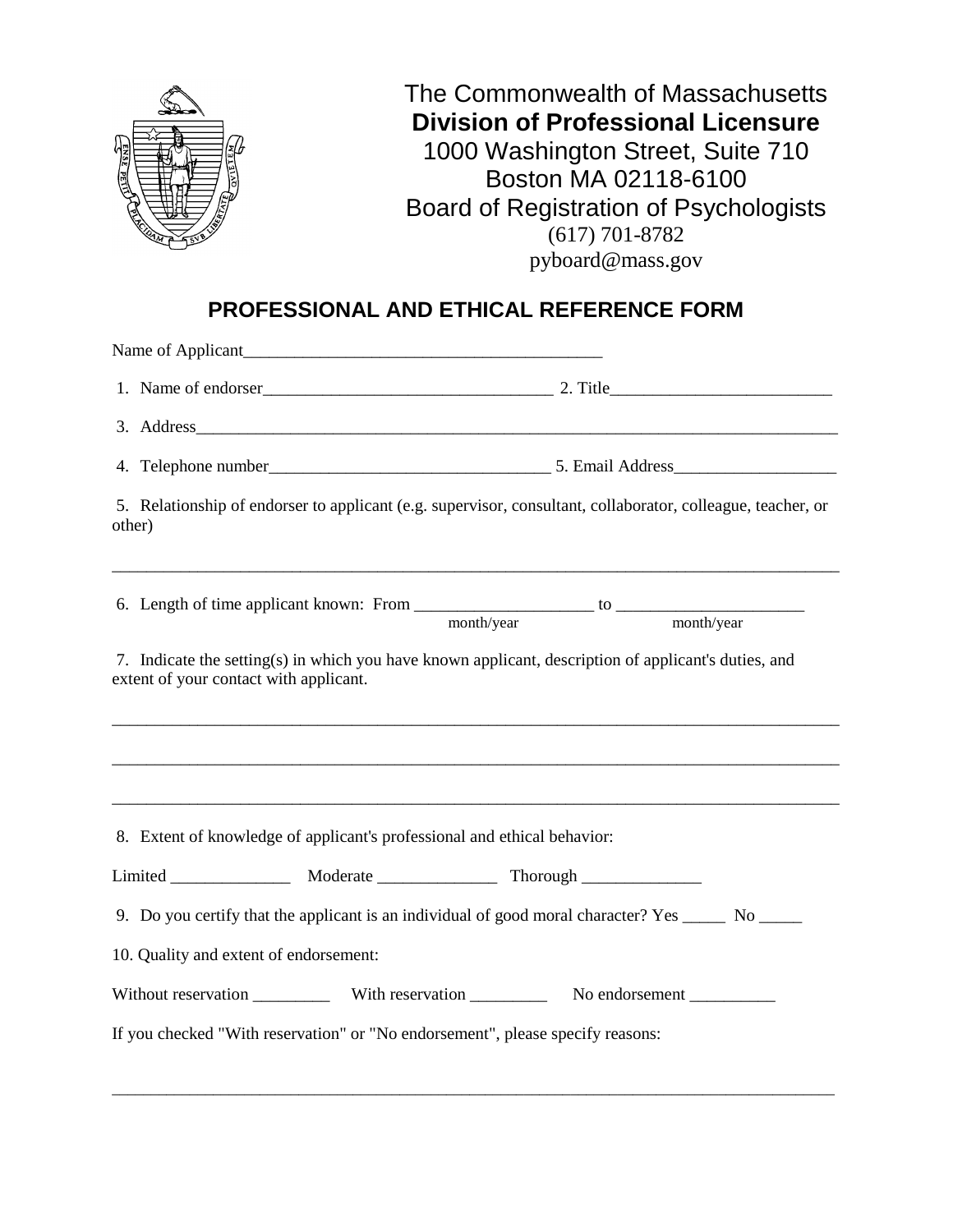

# **PROFESSIONAL AND ETHICAL REFERENCE FORM**

|        | 1. Name of endorser<br><u>1.</u> 2. Title<br>1. Name of endorser                                                                               |  |
|--------|------------------------------------------------------------------------------------------------------------------------------------------------|--|
|        |                                                                                                                                                |  |
|        |                                                                                                                                                |  |
| other) | 5. Relationship of endorser to applicant (e.g. supervisor, consultant, collaborator, colleague, teacher, or                                    |  |
|        |                                                                                                                                                |  |
|        | 7. Indicate the setting(s) in which you have known applicant, description of applicant's duties, and<br>extent of your contact with applicant. |  |
|        | 8. Extent of knowledge of applicant's professional and ethical behavior:                                                                       |  |
|        |                                                                                                                                                |  |
|        | 9. Do you certify that the applicant is an individual of good moral character? Yes ______ No _____                                             |  |
|        | 10. Quality and extent of endorsement:                                                                                                         |  |
|        |                                                                                                                                                |  |
|        | If you checked "With reservation" or "No endorsement", please specify reasons:                                                                 |  |

\_\_\_\_\_\_\_\_\_\_\_\_\_\_\_\_\_\_\_\_\_\_\_\_\_\_\_\_\_\_\_\_\_\_\_\_\_\_\_\_\_\_\_\_\_\_\_\_\_\_\_\_\_\_\_\_\_\_\_\_\_\_\_\_\_\_\_\_\_\_\_\_\_\_\_\_\_\_\_\_\_\_\_\_\_\_\_\_\_\_\_\_\_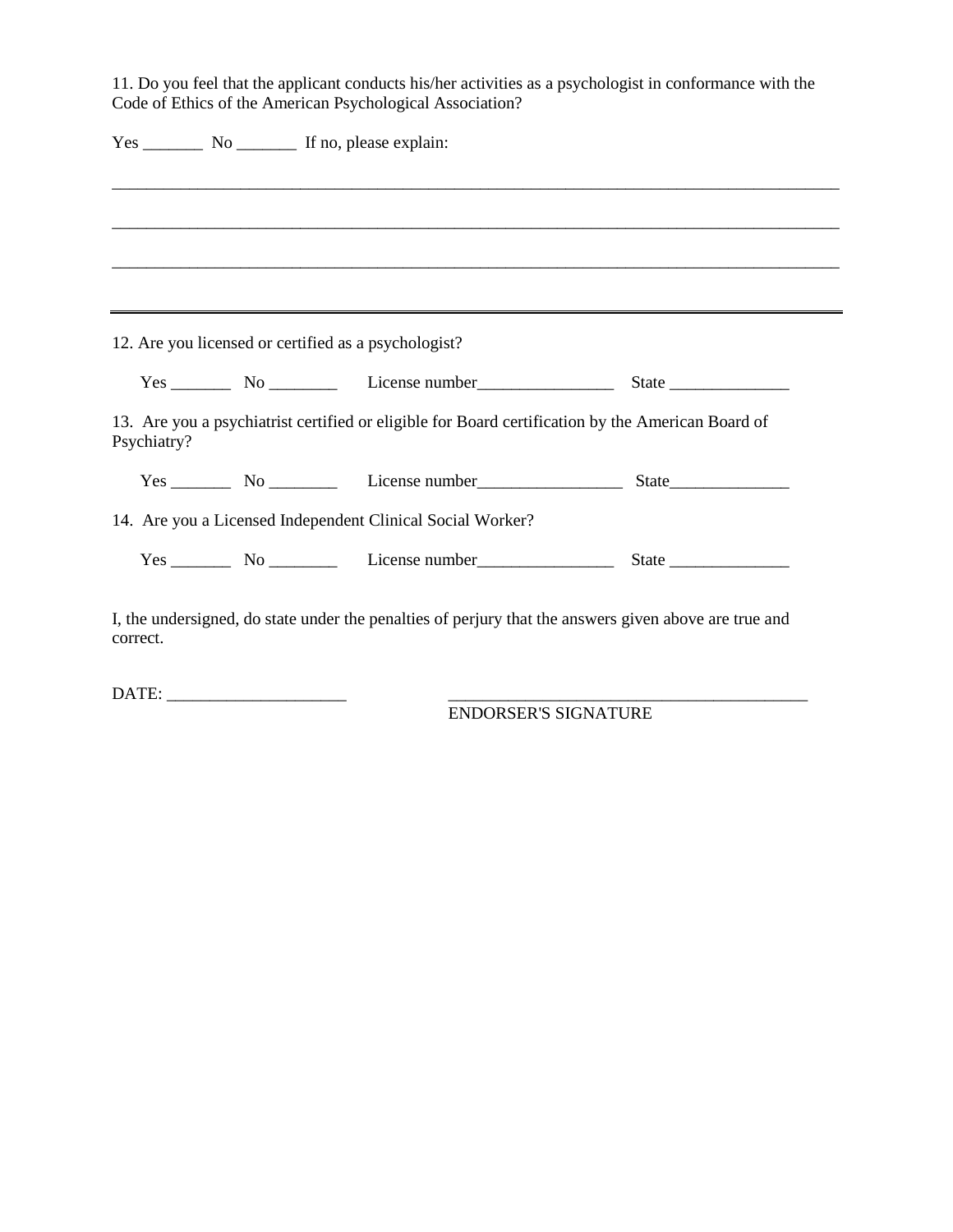11. Do you feel that the applicant conducts his/her activities as a psychologist in conformance with the Code of Ethics of the American Psychological Association?

|             | Yes __________ No __________ If no, please explain:                                               |       |
|-------------|---------------------------------------------------------------------------------------------------|-------|
|             |                                                                                                   |       |
|             |                                                                                                   |       |
|             |                                                                                                   |       |
|             |                                                                                                   |       |
|             | ,我们也不会有什么?""我们的人,我们也不会有什么?""我们的人,我们也不会有什么?""我们的人,我们也不会有什么?""我们的人,我们也不会有什么?""我们的人                  |       |
|             |                                                                                                   |       |
|             | 12. Are you licensed or certified as a psychologist?                                              |       |
|             | $Yes \_\_\_\_\$ No $\_\_\_\_\_\$ License number $\_\_\_\_\_\_\_\_\_\_\_\_\_\_\_$                  |       |
|             | 13. Are you a psychiatrist certified or eligible for Board certification by the American Board of |       |
|             |                                                                                                   | State |
| Psychiatry? | 14. Are you a Licensed Independent Clinical Social Worker?                                        |       |

DATE: \_\_\_\_\_\_\_\_\_\_\_\_\_\_\_\_\_\_\_\_\_ \_\_\_\_\_\_\_\_\_\_\_\_\_\_\_\_\_\_\_\_\_\_\_\_\_\_\_\_\_\_\_\_\_\_\_\_\_\_\_\_\_\_

ENDORSER'S SIGNATURE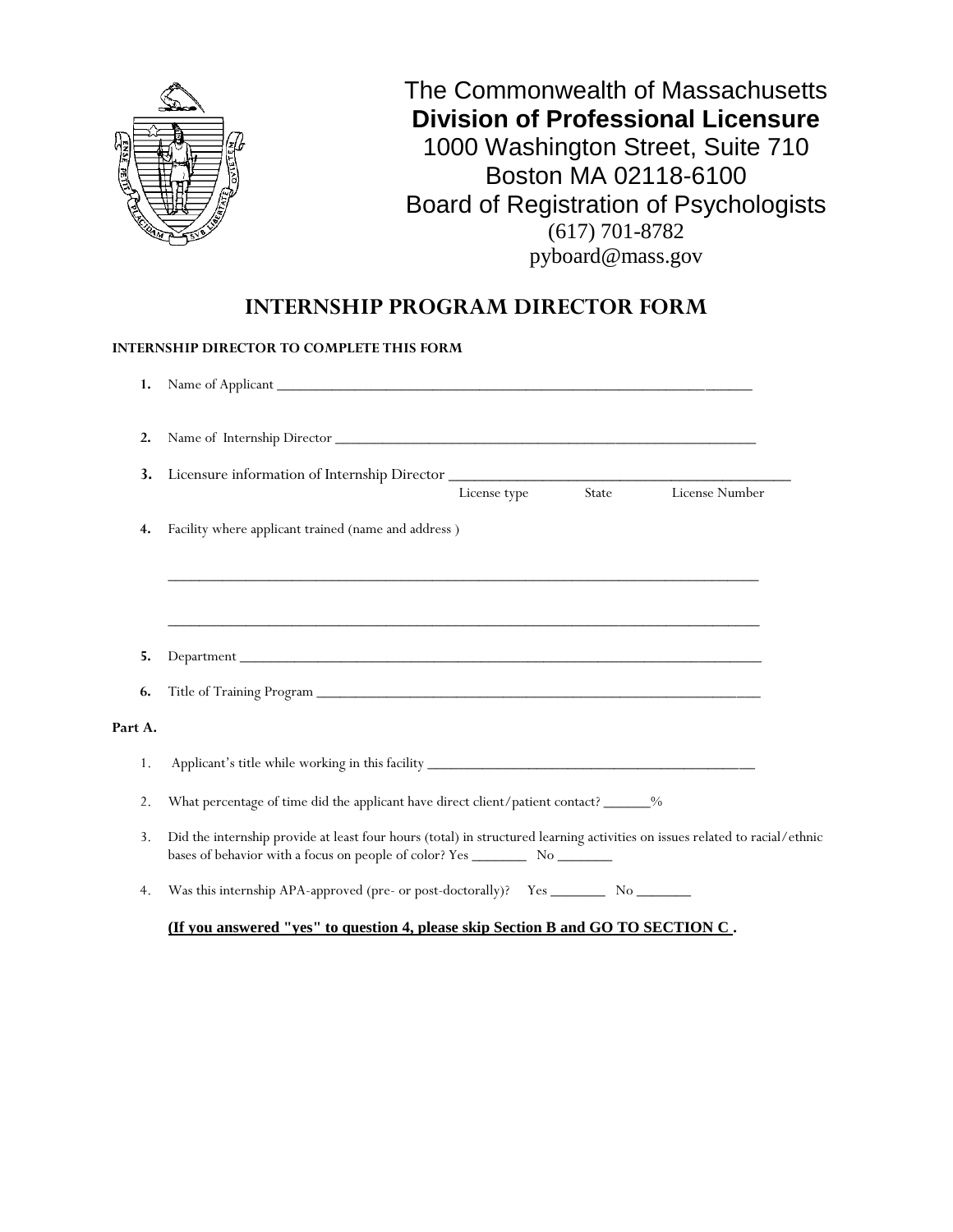

# **INTERNSHIP PROGRAM DIRECTOR FORM**

#### **INTERNSHIP DIRECTOR TO COMPLETE THIS FORM**

| 1.                     |                                                                                                                             |
|------------------------|-----------------------------------------------------------------------------------------------------------------------------|
| $\overline{2}$ .<br>3. | Licensure information of Internship Director                                                                                |
|                        | License Number<br>State<br>License type                                                                                     |
| 4.                     | Facility where applicant trained (name and address)                                                                         |
|                        |                                                                                                                             |
| 5.                     |                                                                                                                             |
| 6.                     |                                                                                                                             |
| Part A.                |                                                                                                                             |
| 1.                     |                                                                                                                             |
| 2.                     | What percentage of time did the applicant have direct client/patient contact? ______%                                       |
| 3.                     | Did the internship provide at least four hours (total) in structured learning activities on issues related to racial/ethnic |
| 4.                     |                                                                                                                             |

**(If you answered "yes" to question 4, please skip Section B and GO TO SECTION C .**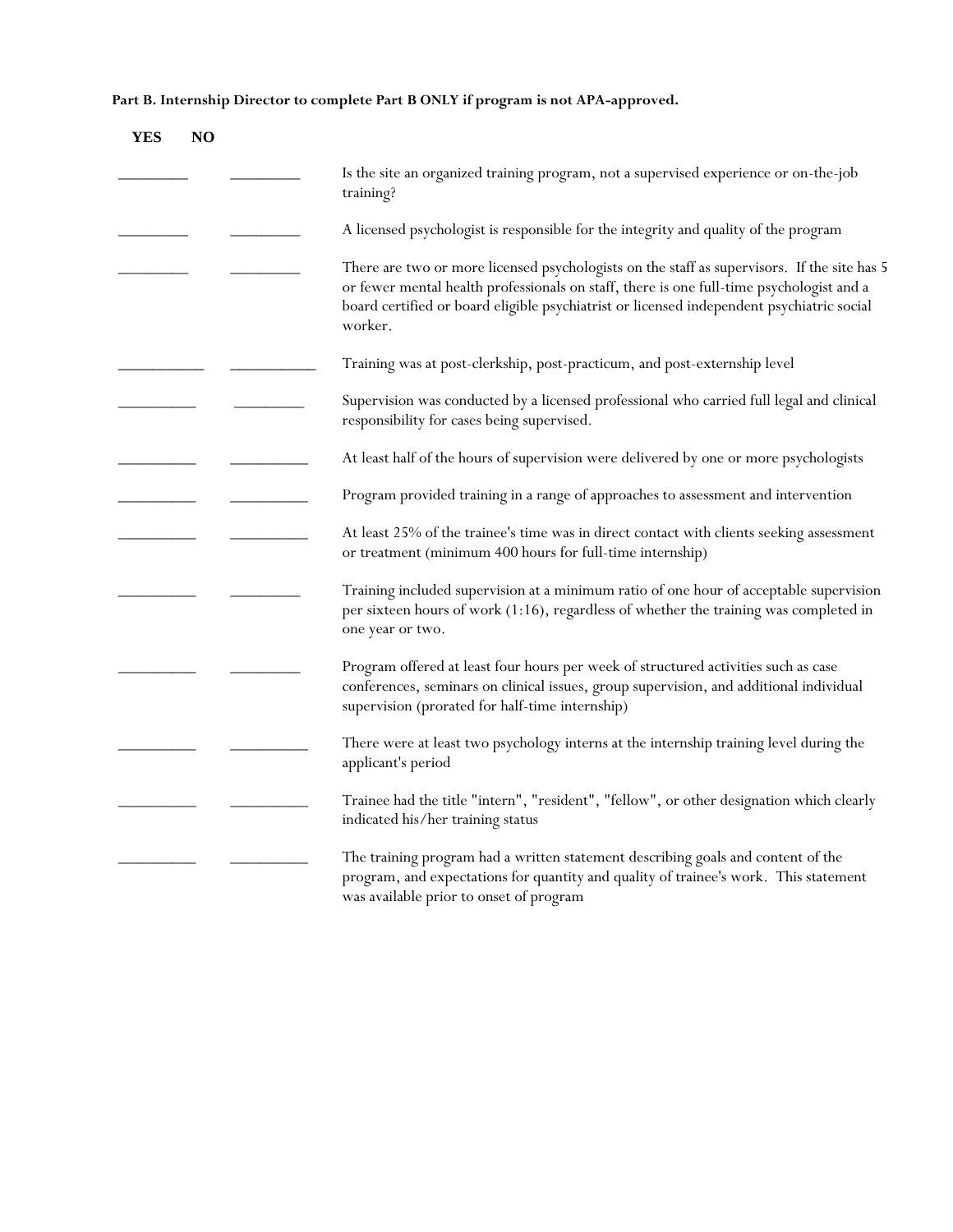**Part B. Internship Director to complete Part B ONLY if program is not APA-approved.**

| YES | N <sub>O</sub> |                                                                                                                                                                                                                                                                                                 |
|-----|----------------|-------------------------------------------------------------------------------------------------------------------------------------------------------------------------------------------------------------------------------------------------------------------------------------------------|
|     |                | Is the site an organized training program, not a supervised experience or on-the-job<br>training?                                                                                                                                                                                               |
|     |                | A licensed psychologist is responsible for the integrity and quality of the program                                                                                                                                                                                                             |
|     |                | There are two or more licensed psychologists on the staff as supervisors. If the site has 5<br>or fewer mental health professionals on staff, there is one full-time psychologist and a<br>board certified or board eligible psychiatrist or licensed independent psychiatric social<br>worker. |
|     |                | Training was at post-clerkship, post-practicum, and post-externship level                                                                                                                                                                                                                       |
|     |                | Supervision was conducted by a licensed professional who carried full legal and clinical<br>responsibility for cases being supervised.                                                                                                                                                          |
|     |                | At least half of the hours of supervision were delivered by one or more psychologists                                                                                                                                                                                                           |
|     |                | Program provided training in a range of approaches to assessment and intervention                                                                                                                                                                                                               |
|     |                | At least 25% of the trainee's time was in direct contact with clients seeking assessment<br>or treatment (minimum 400 hours for full-time internship)                                                                                                                                           |
|     |                | Training included supervision at a minimum ratio of one hour of acceptable supervision<br>per sixteen hours of work (1:16), regardless of whether the training was completed in<br>one year or two.                                                                                             |
|     |                | Program offered at least four hours per week of structured activities such as case<br>conferences, seminars on clinical issues, group supervision, and additional individual<br>supervision (prorated for half-time internship)                                                                 |
|     |                | There were at least two psychology interns at the internship training level during the<br>applicant's period                                                                                                                                                                                    |
|     |                | Trainee had the title "intern", "resident", "fellow", or other designation which clearly<br>indicated his/her training status                                                                                                                                                                   |
|     |                | The training program had a written statement describing goals and content of the<br>program, and expectations for quantity and quality of trainee's work. This statement<br>was available prior to onset of program                                                                             |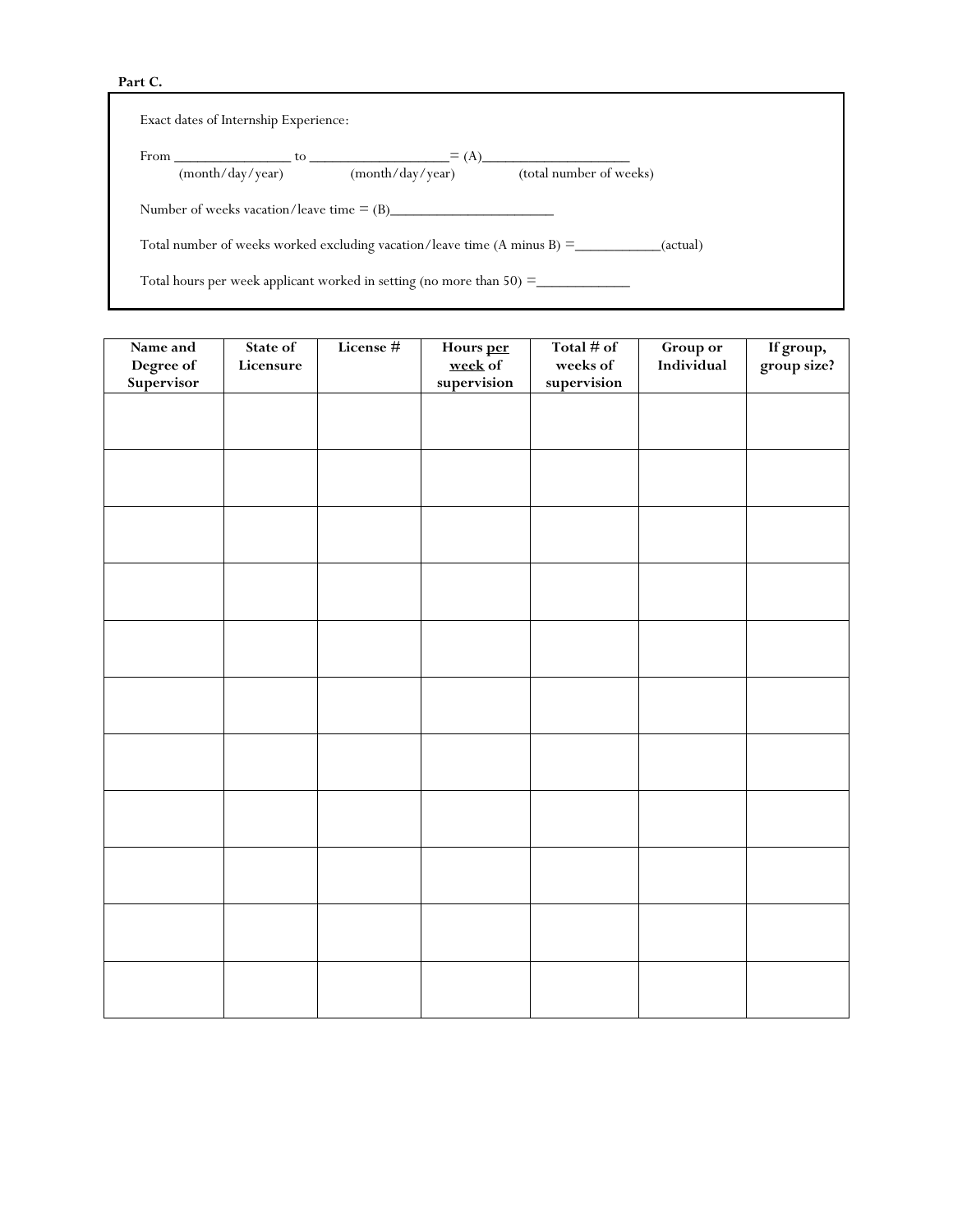#### **Part C.**

| Exact dates of Internship Experience: |                  |                                                                           |                                                                                                 |
|---------------------------------------|------------------|---------------------------------------------------------------------------|-------------------------------------------------------------------------------------------------|
|                                       | (month/day/year) | $From \_\_\_\_\_$ to $\_\_\_\_\_\_\_$<br>$\equiv$ (A)<br>(month/day/year) | (total number of weeks)                                                                         |
|                                       |                  | Number of weeks vacation/leave time $=(B)$                                |                                                                                                 |
|                                       |                  |                                                                           | Total number of weeks worked excluding vacation/leave time $(A \text{ minus } B) =$<br>(actual) |
|                                       |                  | Total hours per week applicant worked in setting (no more than $50$ ) =   |                                                                                                 |

| Name and                | State of  | License # | Hours per<br>week of | Total $#$ of            | Group or   | If group,<br>group size? |
|-------------------------|-----------|-----------|----------------------|-------------------------|------------|--------------------------|
| Degree of<br>Supervisor | Licensure |           | supervision          | weeks of<br>supervision | Individual |                          |
|                         |           |           |                      |                         |            |                          |
|                         |           |           |                      |                         |            |                          |
|                         |           |           |                      |                         |            |                          |
|                         |           |           |                      |                         |            |                          |
|                         |           |           |                      |                         |            |                          |
|                         |           |           |                      |                         |            |                          |
|                         |           |           |                      |                         |            |                          |
|                         |           |           |                      |                         |            |                          |
|                         |           |           |                      |                         |            |                          |
|                         |           |           |                      |                         |            |                          |
|                         |           |           |                      |                         |            |                          |
|                         |           |           |                      |                         |            |                          |
|                         |           |           |                      |                         |            |                          |
|                         |           |           |                      |                         |            |                          |
|                         |           |           |                      |                         |            |                          |
|                         |           |           |                      |                         |            |                          |
|                         |           |           |                      |                         |            |                          |
|                         |           |           |                      |                         |            |                          |
|                         |           |           |                      |                         |            |                          |
|                         |           |           |                      |                         |            |                          |
|                         |           |           |                      |                         |            |                          |
|                         |           |           |                      |                         |            |                          |
|                         |           |           |                      |                         |            |                          |
|                         |           |           |                      |                         |            |                          |
|                         |           |           |                      |                         |            |                          |
|                         |           |           |                      |                         |            |                          |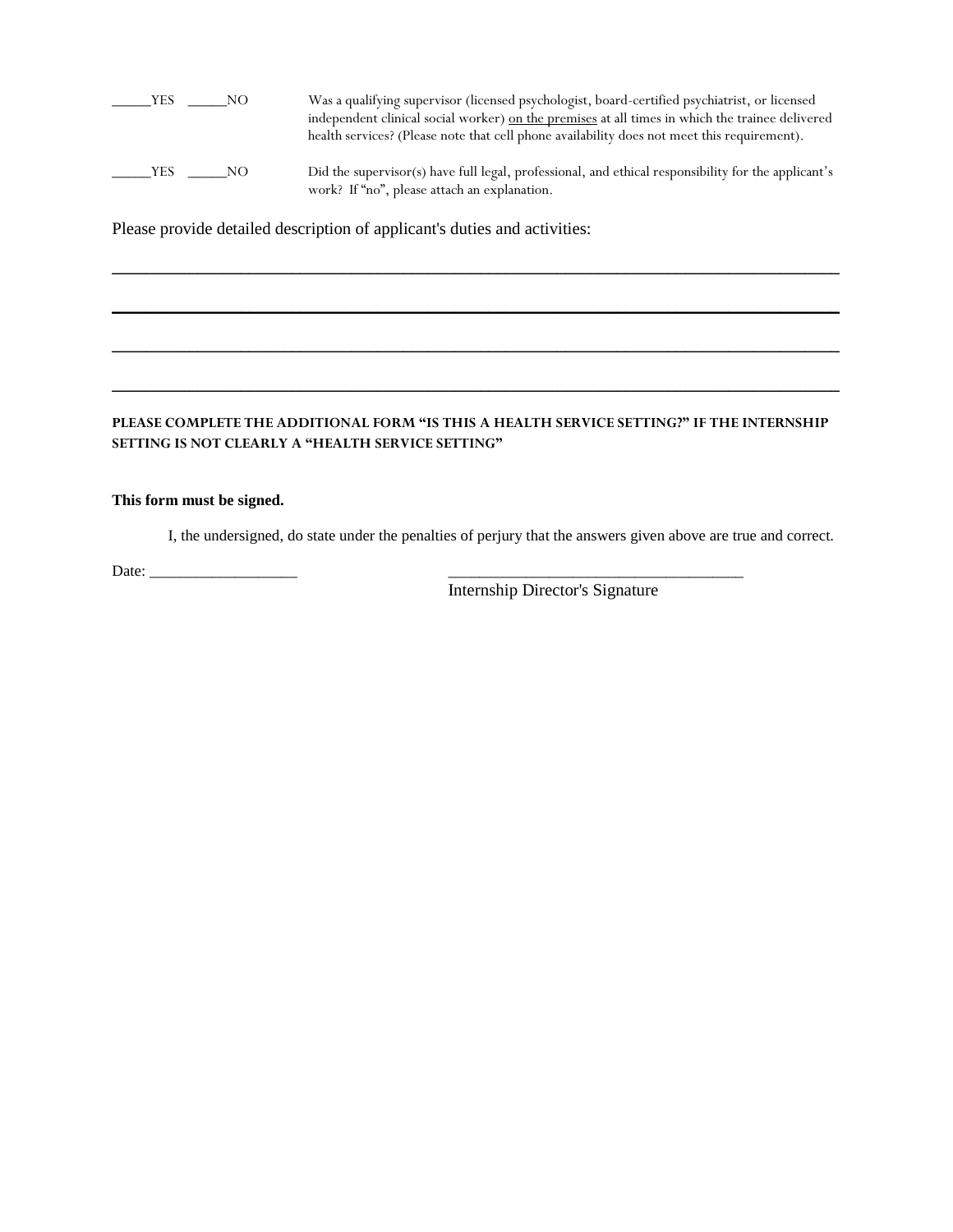\_\_\_\_\_YES \_\_\_\_\_NO Was a qualifying supervisor (licensed psychologist, board-certified psychiatrist, or licensed independent clinical social worker) on the premises at all times in which the trainee delivered health services? (Please note that cell phone availability does not meet this requirement). \_\_\_\_\_YES \_\_\_\_\_NO Did the supervisor(s) have full legal, professional, and ethical responsibility for the applicant's work? If "no", please attach an explanation.

\_\_\_\_\_\_\_\_\_\_\_\_\_\_\_\_\_\_\_\_\_\_\_\_\_\_\_\_\_\_\_\_\_\_\_\_\_\_\_\_\_\_\_\_\_\_\_\_\_\_\_\_\_\_\_\_\_\_\_\_\_\_\_\_\_\_\_\_\_\_\_\_\_\_\_\_\_\_\_\_\_\_\_\_\_

 $\_$  ,  $\_$  ,  $\_$  ,  $\_$  ,  $\_$  ,  $\_$  ,  $\_$  ,  $\_$  ,  $\_$  ,  $\_$  ,  $\_$  ,  $\_$  ,  $\_$  ,  $\_$  ,  $\_$  ,  $\_$  ,  $\_$  ,  $\_$  ,  $\_$  ,  $\_$  ,  $\_$  ,  $\_$  ,  $\_$  ,  $\_$  ,  $\_$  ,  $\_$  ,  $\_$  ,  $\_$  ,  $\_$  ,  $\_$  ,  $\_$  ,  $\_$  ,  $\_$  ,  $\_$  ,  $\_$  ,  $\_$  ,  $\_$  ,

\_\_\_\_\_\_\_\_\_\_\_\_\_\_\_\_\_\_\_\_\_\_\_\_\_\_\_\_\_\_\_\_\_\_\_\_\_\_\_\_\_\_\_\_\_\_\_\_\_\_\_\_\_\_\_\_\_\_\_\_\_\_\_\_\_\_\_\_\_\_\_\_\_\_\_\_\_\_\_\_\_\_\_\_\_

\_\_\_\_\_\_\_\_\_\_\_\_\_\_\_\_\_\_\_\_\_\_\_\_\_\_\_\_\_\_\_\_\_\_\_\_\_\_\_\_\_\_\_\_\_\_\_\_\_\_\_\_\_\_\_\_\_\_\_\_\_\_\_\_\_\_\_\_\_\_\_\_\_\_\_\_\_\_\_\_\_\_\_\_\_

Please provide detailed description of applicant's duties and activities:

#### **PLEASE COMPLETE THE ADDITIONAL FORM "IS THIS A HEALTH SERVICE SETTING?" IF THE INTERNSHIP SETTING IS NOT CLEARLY A "HEALTH SERVICE SETTING"**

#### **This form must be signed.**

I, the undersigned, do state under the penalties of perjury that the answers given above are true and correct.

Date: \_\_\_\_\_\_\_\_\_\_\_\_\_\_\_\_\_\_\_ \_\_\_\_\_\_\_\_\_\_\_\_\_\_\_\_\_\_\_\_\_\_\_\_\_\_\_\_\_\_\_\_\_\_\_\_\_\_

Internship Director's Signature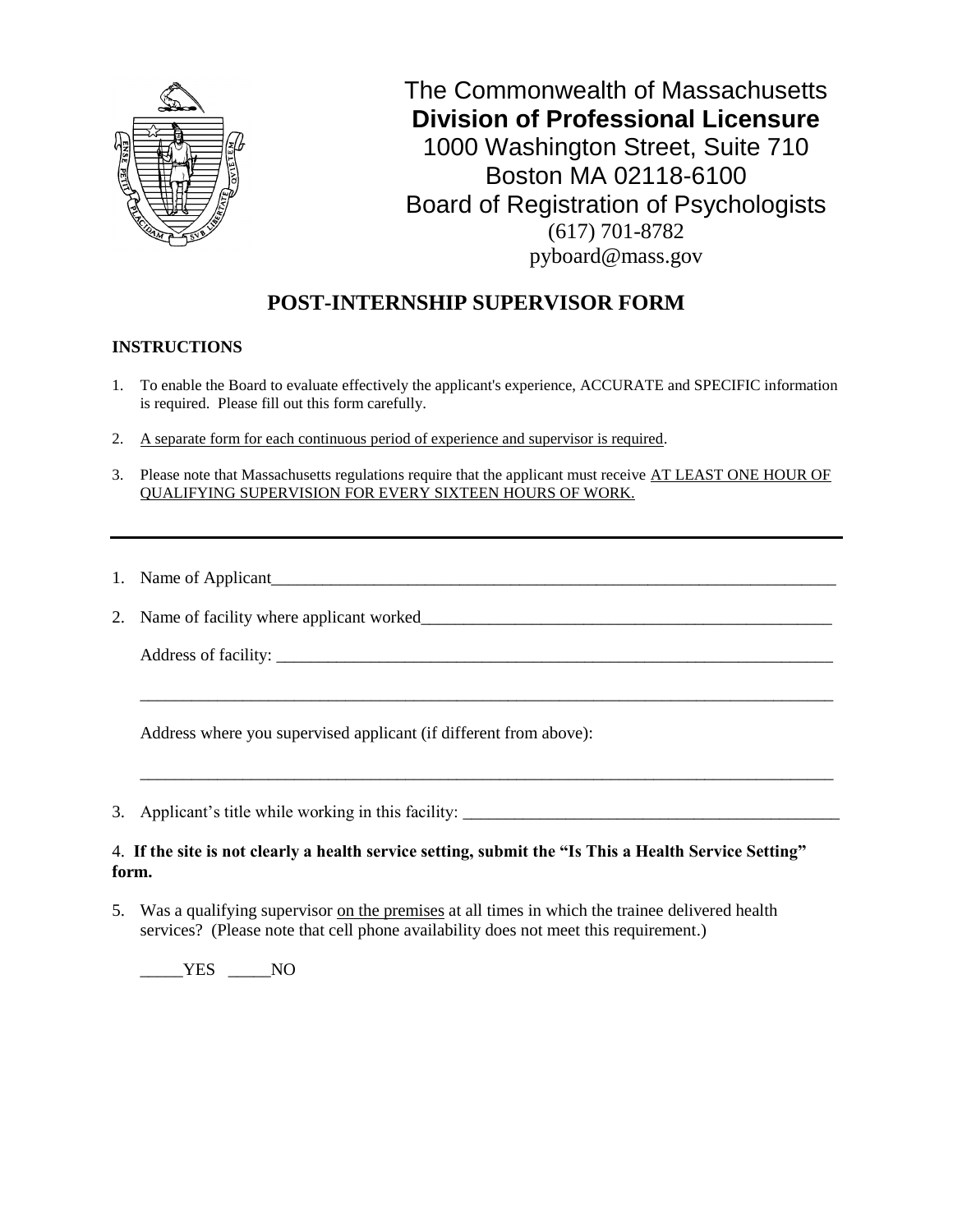

# **POST-INTERNSHIP SUPERVISOR FORM**

### **INSTRUCTIONS**

- 1. To enable the Board to evaluate effectively the applicant's experience, ACCURATE and SPECIFIC information is required. Please fill out this form carefully.
- 2. A separate form for each continuous period of experience and supervisor is required.
- 3. Please note that Massachusetts regulations require that the applicant must receive AT LEAST ONE HOUR OF QUALIFYING SUPERVISION FOR EVERY SIXTEEN HOURS OF WORK.

\_\_\_\_\_\_\_\_\_\_\_\_\_\_\_\_\_\_\_\_\_\_\_\_\_\_\_\_\_\_\_\_\_\_\_\_\_\_\_\_\_\_\_\_\_\_\_\_\_\_\_\_\_\_\_\_\_\_\_\_\_\_\_\_\_\_\_\_\_\_\_\_\_\_\_\_\_\_\_\_\_

\_\_\_\_\_\_\_\_\_\_\_\_\_\_\_\_\_\_\_\_\_\_\_\_\_\_\_\_\_\_\_\_\_\_\_\_\_\_\_\_\_\_\_\_\_\_\_\_\_\_\_\_\_\_\_\_\_\_\_\_\_\_\_\_\_\_\_\_\_\_\_\_\_\_\_\_\_\_\_\_\_

- 1. Name of Applicant
- 2. Name of facility where applicant worked\_\_\_\_\_\_\_\_\_\_\_\_\_\_\_\_\_\_\_\_\_\_\_\_\_\_\_\_\_\_\_\_\_\_\_\_\_\_\_\_\_\_\_\_\_\_\_\_

Address of facility: \_\_\_\_\_\_\_\_\_\_\_\_\_\_\_\_\_\_\_\_\_\_\_\_\_\_\_\_\_\_\_\_\_\_\_\_\_\_\_\_\_\_\_\_\_\_\_\_\_\_\_\_\_\_\_\_\_\_\_\_\_\_\_\_\_

Address where you supervised applicant (if different from above):

3. Applicant's title while working in this facility: \_\_\_\_\_\_\_\_\_\_\_\_\_\_\_\_\_\_\_\_\_\_\_\_\_\_\_\_\_\_\_\_\_\_\_\_\_\_\_\_\_\_\_\_

#### 4. **If the site is not clearly a health service setting, submit the "Is This a Health Service Setting" form.**

5. Was a qualifying supervisor on the premises at all times in which the trainee delivered health services? (Please note that cell phone availability does not meet this requirement.)

 $YES$   $NO$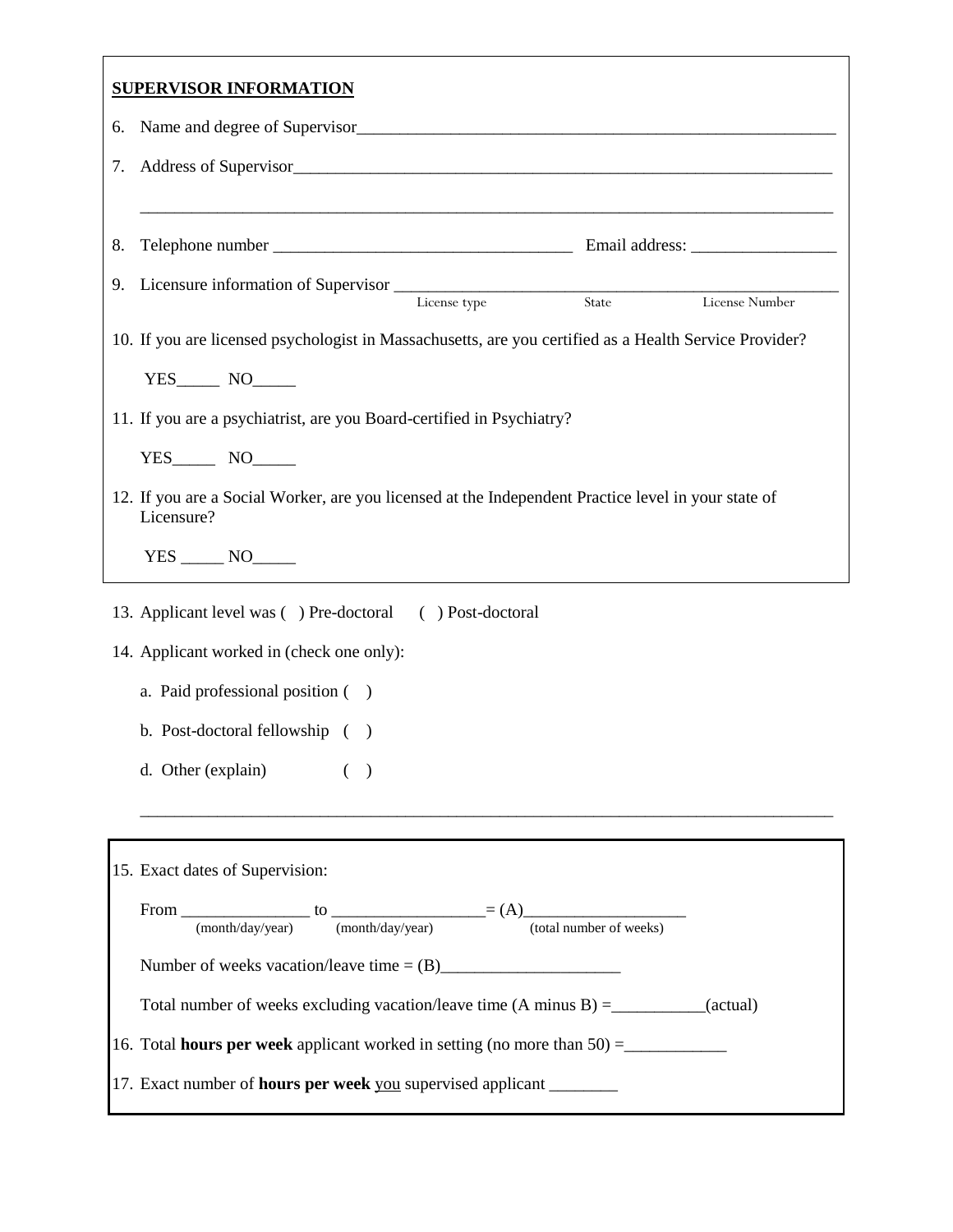|    | <b>SUPERVISOR INFORMATION</b>                                                                                                                                                                                                        |
|----|--------------------------------------------------------------------------------------------------------------------------------------------------------------------------------------------------------------------------------------|
| 6. |                                                                                                                                                                                                                                      |
| 7. | Address of Supervisor <b>Executive Contract Contract Contract Contract Contract Contract Contract Contract Contract Contract Contract Contract Contract Contract Contract Contract Contract Contract Contract Contract Contract </b> |
|    |                                                                                                                                                                                                                                      |
| 8. |                                                                                                                                                                                                                                      |
| 9. | Licensure information of Supervisor<br>License type<br>State<br>License UPS<br>License Number                                                                                                                                        |
|    | 10. If you are licensed psychologist in Massachusetts, are you certified as a Health Service Provider?                                                                                                                               |
|    |                                                                                                                                                                                                                                      |
|    | 11. If you are a psychiatrist, are you Board-certified in Psychiatry?                                                                                                                                                                |
|    |                                                                                                                                                                                                                                      |
|    | 12. If you are a Social Worker, are you licensed at the Independent Practice level in your state of<br>Licensure?                                                                                                                    |
|    |                                                                                                                                                                                                                                      |
|    | 13. Applicant level was () Pre-doctoral () Post-doctoral                                                                                                                                                                             |
|    | 14. Applicant worked in (check one only):                                                                                                                                                                                            |
|    | a. Paid professional position ()                                                                                                                                                                                                     |
|    | b. Post-doctoral fellowship ()                                                                                                                                                                                                       |
|    | d. Other (explain)<br>$\rightarrow$                                                                                                                                                                                                  |
|    |                                                                                                                                                                                                                                      |
|    | 15. Exact dates of Supervision:                                                                                                                                                                                                      |
|    | From $\frac{}{\frac{(\text{month/day/year})}{(\text{month/day/year})}}$ to $\frac{}{\frac{(\text{month/day/year})}{(\text{both number of weeks})}}$                                                                                  |
|    |                                                                                                                                                                                                                                      |
|    | Total number of weeks excluding vacation/leave time $(A \text{ minus } B) =$ ___________(actual)                                                                                                                                     |
|    | 16. Total <b>hours per week</b> applicant worked in setting (no more than $50$ ) =                                                                                                                                                   |
|    | 17. Exact number of <b>hours per week</b> you supervised applicant _________                                                                                                                                                         |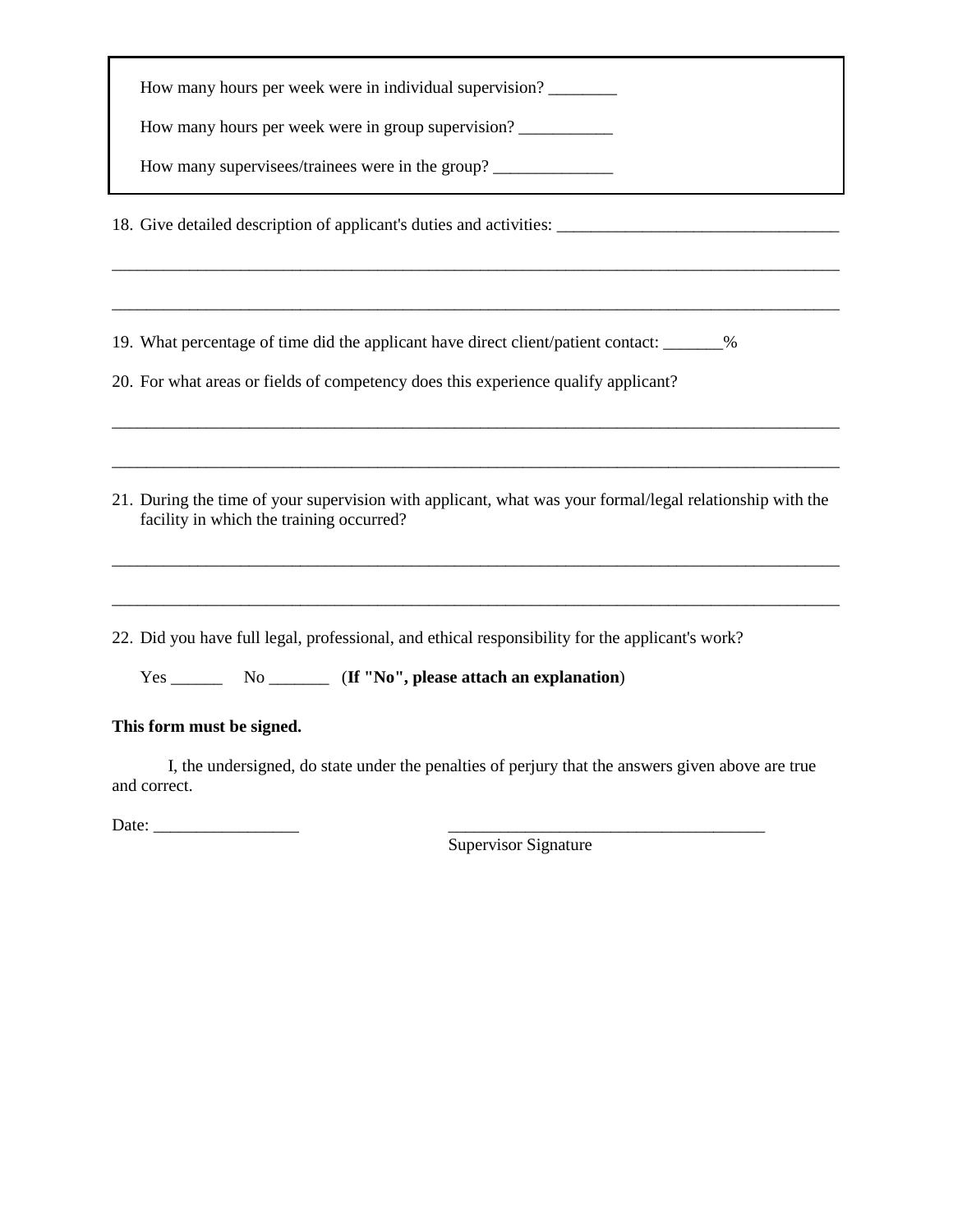| How many hours per week were in individual supervision?                                                                                              |
|------------------------------------------------------------------------------------------------------------------------------------------------------|
| How many hours per week were in group supervision?                                                                                                   |
| How many supervisees/trainees were in the group?                                                                                                     |
| 18. Give detailed description of applicant's duties and activities:                                                                                  |
|                                                                                                                                                      |
| 19. What percentage of time did the applicant have direct client/patient contact: _______%                                                           |
| 20. For what areas or fields of competency does this experience qualify applicant?                                                                   |
| 21. During the time of your supervision with applicant, what was your formal/legal relationship with the<br>facility in which the training occurred? |
| 22. Did you have full legal, professional, and ethical responsibility for the applicant's work?                                                      |
| This form must be signed.                                                                                                                            |
| I, the undersigned, do state under the penalties of perjury that the answers given above are true                                                    |

Date: \_\_\_\_\_\_\_\_\_\_\_\_\_\_\_\_\_ \_\_\_\_\_\_\_\_\_\_\_\_\_\_\_\_\_\_\_\_\_\_\_\_\_\_\_\_\_\_\_\_\_\_\_\_\_

and correct.

Supervisor Signature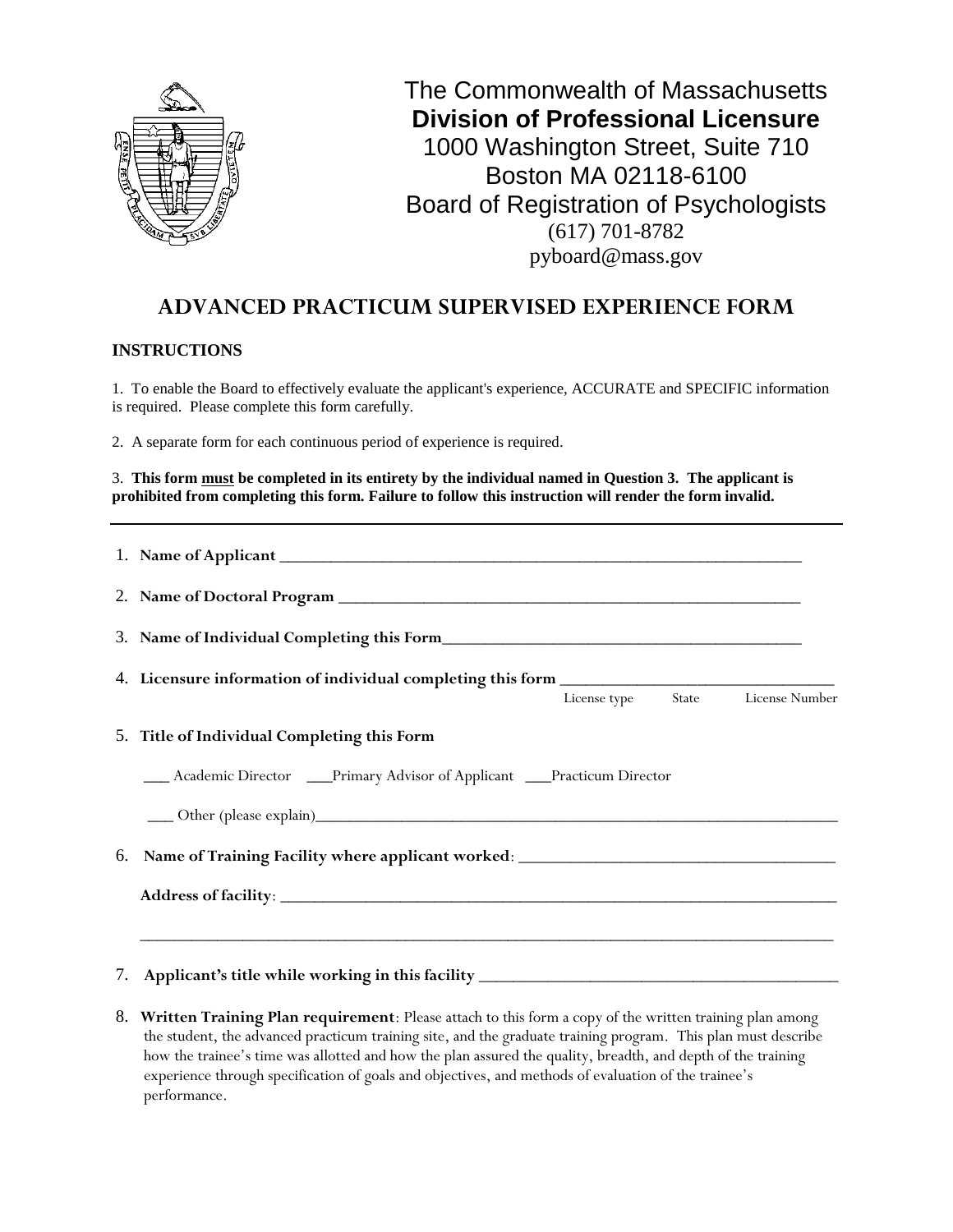

# **ADVANCED PRACTICUM SUPERVISED EXPERIENCE FORM**

#### **INSTRUCTIONS**

1. To enable the Board to effectively evaluate the applicant's experience, ACCURATE and SPECIFIC information is required. Please complete this form carefully.

2. A separate form for each continuous period of experience is required.

3. **This form must be completed in its entirety by the individual named in Question 3. The applicant is prohibited from completing this form. Failure to follow this instruction will render the form invalid.**

|    | 4. Licensure information of individual completing this form<br>License type State License Number |
|----|--------------------------------------------------------------------------------------------------|
|    | 5. Title of Individual Completing this Form                                                      |
|    | ___ Academic Director ____Primary Advisor of Applicant ____Practicum Director                    |
|    |                                                                                                  |
| 6. | Name of Training Facility where applicant worked: _______________________________                |
|    | ,我们也不能在这里的人,我们也不能在这里的人,我们也不能不能不能不能不能不能不能不能不能不能不能不能不能不能。""我们的人,我们也不能不能不能不能不能不能不能不                 |
|    | 7. Applicant's title while working in this facility _____________________________                |

8. **Written Training Plan requirement**: Please attach to this form a copy of the written training plan among the student, the advanced practicum training site, and the graduate training program. This plan must describe how the trainee's time was allotted and how the plan assured the quality, breadth, and depth of the training experience through specification of goals and objectives, and methods of evaluation of the trainee's performance.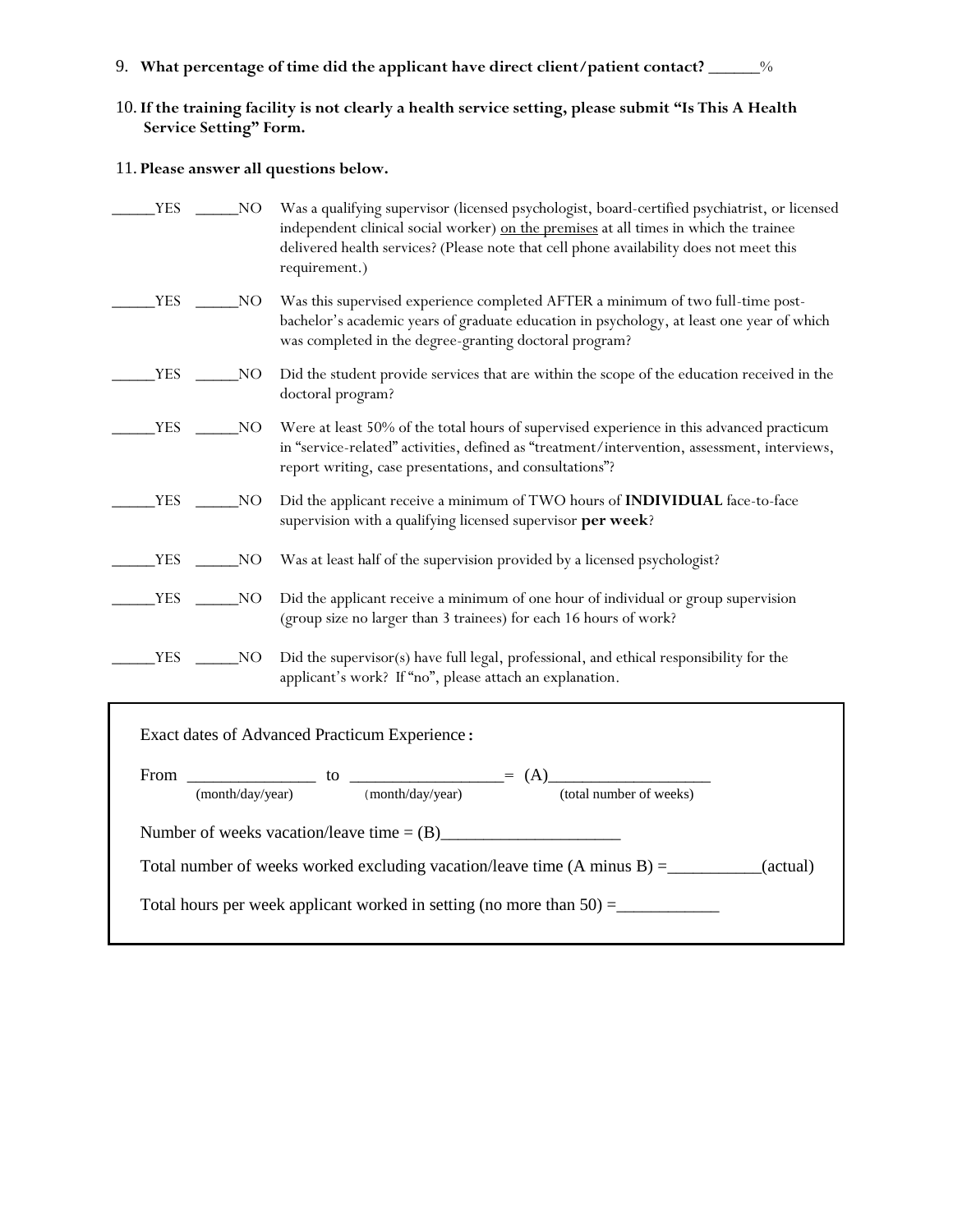- 9. **What percentage of time did the applicant have direct client/patient contact?** \_\_\_\_\_\_%
- 10.**If the training facility is not clearly a health service setting, please submit "Is This A Health Service Setting" Form.**

#### 11. **Please answer all questions below.**

| <b>YES</b> | NO  | Was a qualifying supervisor (licensed psychologist, board-certified psychiatrist, or licensed<br>independent clinical social worker) on the premises at all times in which the trainee<br>delivered health services? (Please note that cell phone availability does not meet this<br>requirement.) |
|------------|-----|----------------------------------------------------------------------------------------------------------------------------------------------------------------------------------------------------------------------------------------------------------------------------------------------------|
| <b>YES</b> | NO  | Was this supervised experience completed AFTER a minimum of two full-time post-<br>bachelor's academic years of graduate education in psychology, at least one year of which<br>was completed in the degree-granting doctoral program?                                                             |
| <b>YES</b> | NO. | Did the student provide services that are within the scope of the education received in the<br>doctoral program?                                                                                                                                                                                   |
| <b>YES</b> | NO. | Were at least 50% of the total hours of supervised experience in this advanced practicum<br>in "service-related" activities, defined as "treatment/intervention, assessment, interviews,<br>report writing, case presentations, and consultations"?                                                |
| YES        | NO  | Did the applicant receive a minimum of TWO hours of INDIVIDUAL face-to-face<br>supervision with a qualifying licensed supervisor per week?                                                                                                                                                         |
| <b>YES</b> | NO  | Was at least half of the supervision provided by a licensed psychologist?                                                                                                                                                                                                                          |
| <b>YES</b> | NO  | Did the applicant receive a minimum of one hour of individual or group supervision<br>(group size no larger than 3 trainees) for each 16 hours of work?                                                                                                                                            |
| <b>YES</b> | NO  | Did the supervisor(s) have full legal, professional, and ethical responsibility for the<br>applicant's work? If "no", please attach an explanation.                                                                                                                                                |

|  | (month/day/year) (month/day/year) | (total number of weeks)                                                                               |  |
|--|-----------------------------------|-------------------------------------------------------------------------------------------------------|--|
|  |                                   | Total number of weeks worked excluding vacation/leave time $(A \text{ minus } B) =$ _________(actual) |  |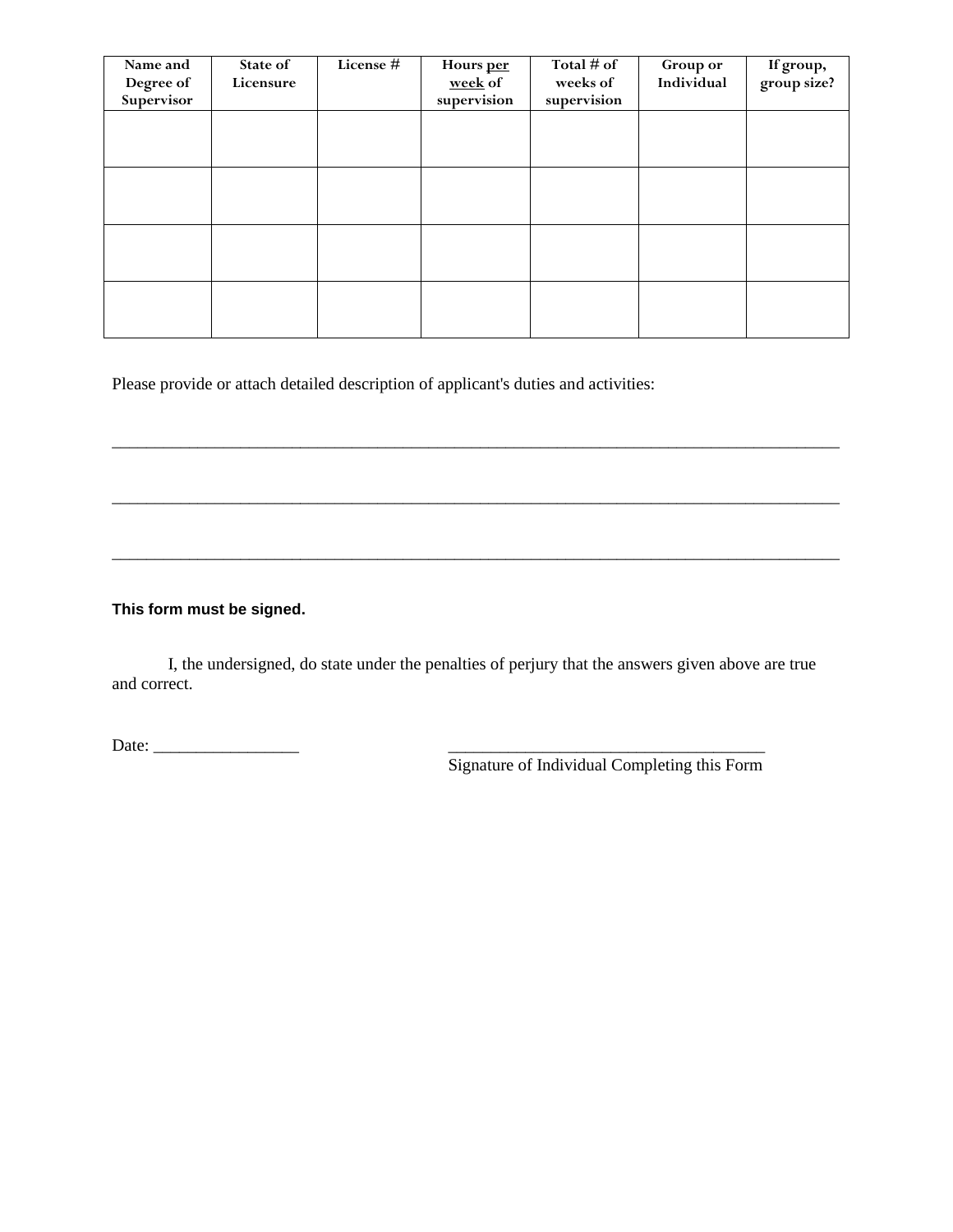| Name and<br>Degree of<br>Supervisor | State of<br>Licensure | License $\overline{H}$ | Hours per<br>week of<br>supervision | Total $#$ of<br>weeks of<br>supervision | Group or<br>Individual | If group,<br>group size? |
|-------------------------------------|-----------------------|------------------------|-------------------------------------|-----------------------------------------|------------------------|--------------------------|
|                                     |                       |                        |                                     |                                         |                        |                          |
|                                     |                       |                        |                                     |                                         |                        |                          |
|                                     |                       |                        |                                     |                                         |                        |                          |
|                                     |                       |                        |                                     |                                         |                        |                          |

\_\_\_\_\_\_\_\_\_\_\_\_\_\_\_\_\_\_\_\_\_\_\_\_\_\_\_\_\_\_\_\_\_\_\_\_\_\_\_\_\_\_\_\_\_\_\_\_\_\_\_\_\_\_\_\_\_\_\_\_\_\_\_\_\_\_\_\_\_\_\_\_\_\_\_\_\_\_\_\_\_\_\_\_\_

\_\_\_\_\_\_\_\_\_\_\_\_\_\_\_\_\_\_\_\_\_\_\_\_\_\_\_\_\_\_\_\_\_\_\_\_\_\_\_\_\_\_\_\_\_\_\_\_\_\_\_\_\_\_\_\_\_\_\_\_\_\_\_\_\_\_\_\_\_\_\_\_\_\_\_\_\_\_\_\_\_\_\_\_\_

\_\_\_\_\_\_\_\_\_\_\_\_\_\_\_\_\_\_\_\_\_\_\_\_\_\_\_\_\_\_\_\_\_\_\_\_\_\_\_\_\_\_\_\_\_\_\_\_\_\_\_\_\_\_\_\_\_\_\_\_\_\_\_\_\_\_\_\_\_\_\_\_\_\_\_\_\_\_\_\_\_\_\_\_\_

Please provide or attach detailed description of applicant's duties and activities:

### **This form must be signed.**

I, the undersigned, do state under the penalties of perjury that the answers given above are true and correct.

Date: \_\_\_\_\_\_\_\_\_\_\_\_\_\_\_\_\_ \_\_\_\_\_\_\_\_\_\_\_\_\_\_\_\_\_\_\_\_\_\_\_\_\_\_\_\_\_\_\_\_\_\_\_\_\_

Signature of Individual Completing this Form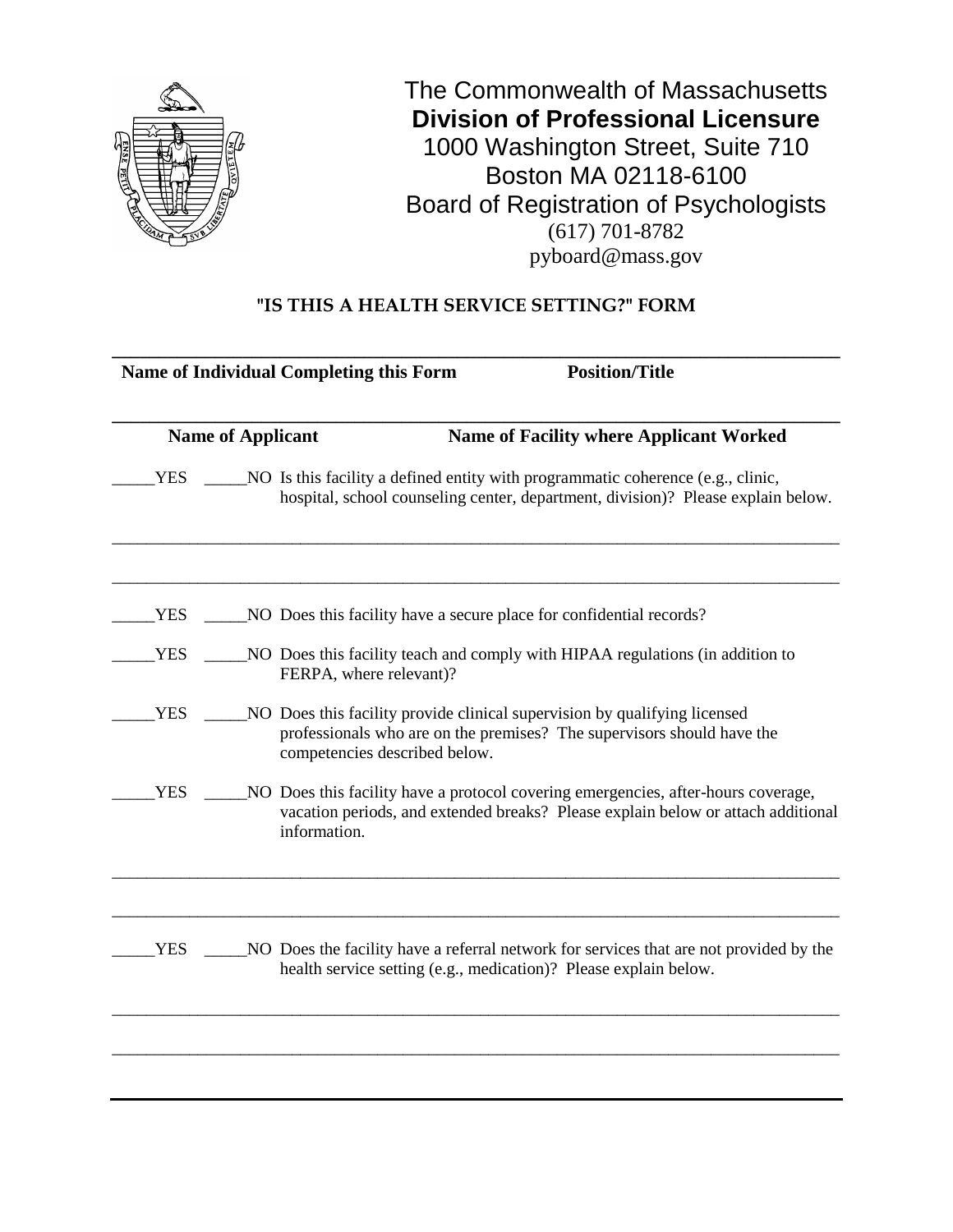

# **"IS THIS A HEALTH SERVICE SETTING?" FORM**

| <b>Name of Individual Completing this Form</b> | <b>Position/Title</b>                                                                                                                                                                |  |  |
|------------------------------------------------|--------------------------------------------------------------------------------------------------------------------------------------------------------------------------------------|--|--|
| <b>Name of Applicant</b>                       | <b>Name of Facility where Applicant Worked</b>                                                                                                                                       |  |  |
|                                                | NO Is this facility a defined entity with programmatic coherence (e.g., clinic,<br>hospital, school counseling center, department, division)? Please explain below.                  |  |  |
|                                                | NO Does this facility have a secure place for confidential records?                                                                                                                  |  |  |
| FERPA, where relevant)?                        | NO Does this facility teach and comply with HIPAA regulations (in addition to                                                                                                        |  |  |
|                                                | NO Does this facility provide clinical supervision by qualifying licensed<br>professionals who are on the premises? The supervisors should have the<br>competencies described below. |  |  |
| information.                                   | NO Does this facility have a protocol covering emergencies, after-hours coverage,<br>vacation periods, and extended breaks? Please explain below or attach additional                |  |  |
|                                                | NO Does the facility have a referral network for services that are not provided by the<br>health service setting (e.g., medication)? Please explain below.                           |  |  |
|                                                |                                                                                                                                                                                      |  |  |